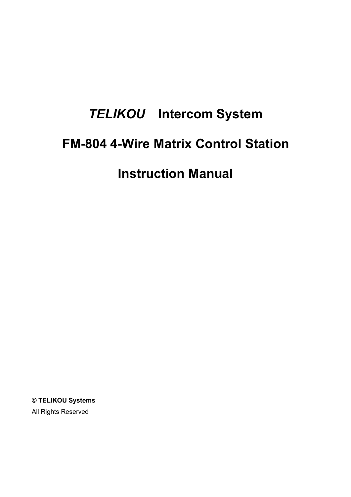# *TELIKOU* **Intercom System FM-804 4-Wire Matrix Control Station Instruction Manual**

**© TELIKOU Systems** All Rights Reserved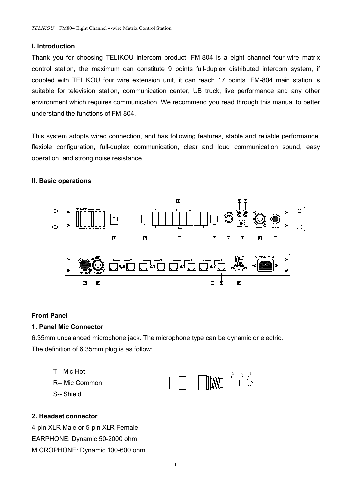#### **I. Introduction**

Thank you for choosing TELIKOU intercom product. FM-804 is a eight channel four wire matrix control station, the maximum can constitute 9 points full-duplex distributed intercom system, if coupled with TELIKOU four wire extension unit, it can reach 17 points. FM-804 main station is suitable for television station, communication center, UB truck, live performance and any other environment which requires communication. We recommend you read through this manual to better understand the functions of FM-804.

This system adopts wired connection, and has following features, stable and reliable performance, flexible configuration, full-duplex communication, clear and loud communication sound, easy operation, and strong noise resistance.

#### **II. Basic operations**



#### **Front Panel**

#### **1. Panel Mic Connector**

6.35mm unbalanced microphone jack. The microphone type can be dynamic or electric. The definition of 6.35mm plug is as follow:

- T-- Mic Hot R-- Mic Common
	-



#### **2. Headset connector**

S-- Shield

4-pin XLR Male or 5-pin XLR Female EARPHONE: Dynamic 50-2000 ohm MICROPHONE: Dynamic 100-600 ohm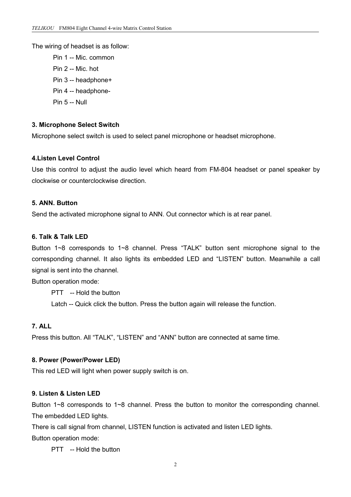The wiring of headset is as follow:

Pin 1 -- Mic. common Pin 2 -- Mic. hot Pin 3 -- headphone+ Pin 4 -- headphone- Pin 5 -- Null

#### **3. Microphone Select Switch**

Microphone select switch is used to select panel microphone or headset microphone.

#### **4.Listen Level Control**

Use this control to adjust the audio level which heard from FM-804 headset or panel speaker by clockwise or counterclockwise direction.

#### **5. ANN. Button**

Send the activated microphone signal to ANN. Out connector which is at rear panel.

#### **6. Talk & Talk LED**

Button 1~8 corresponds to 1~8 channel. Press "TALK" button sent microphone signal to the corresponding channel. It also lights its embedded LED and "LISTEN" button. Meanwhile a call signal is sent into the channel.

Button operation mode:

PTT -- Hold the button Latch -- Quick click the button. Press the button again will release the function.

### **7. ALL**

Press this button. All "TALK", "LISTEN" and "ANN" button are connected at same time.

#### **8. Power (Power/Power LED)**

This red LED will light when power supply switch is on.

## **9. Listen & Listen LED**

Button 1~8 corresponds to 1~8 channel. Press the button to monitor the corresponding channel. The embedded LED lights.

There is call signal from channel, LISTEN function is activated and listen LED lights.

Button operation mode:

PTT -- Hold the button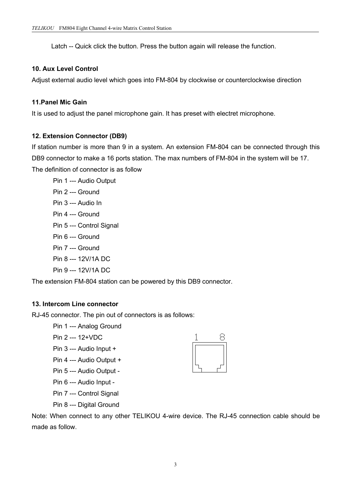Latch -- Quick click the button. Press the button again will release the function.

#### **10. Aux Level Control**

Adjust external audio level which goes into FM-804 by clockwise or counterclockwise direction

#### **11.Panel Mic Gain**

It is used to adjust the panel microphone gain. It has preset with electret microphone.

#### **12. Extension Connector (DB9)**

If station number is more than 9 in a system. An extension FM-804 can be connected through this DB9 connector to make a 16 ports station. The max numbers of FM-804 in the system will be 17. The definition of connector is as follow

Pin 1 --- Audio Output Pin 2 --- Ground Pin 3 --- Audio In Pin 4 --- Ground Pin 5 --- Control Signal Pin 6 --- Ground Pin 7 --- Ground Pin 8 --- 12V/1A DC Pin 9 --- 12V/1A DC

The extension FM-804 station can be powered by this DB9 connector.

#### **13. Intercom Line connector**

RJ-45 connector. The pin out of connectors is as follows:

Pin 1 --- Analog Ground

Pin 2 --- 12+VDC

Pin 3 --- Audio Input +

Pin 4 --- Audio Output +

Pin 5 --- Audio Output -

Pin 6 --- Audio Input -

Pin 7 --- Control Signal

Pin 8 --- Digital Ground

Note: When connect to any other TELIKOU 4-wire device. The RJ-45 connection cable should be made as follow.

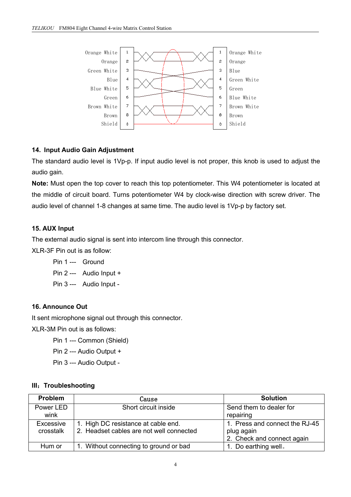

## **14. Input Audio Gain Adjustment**

The standard audio level is 1Vp-p. If input audio level is not proper, this knob is used to adjust the audio gain.

**Note:** Must open the top cover to reach this top potentiometer. This W4 potentiometer is located at the middle of circuit board. Turns potentiometer W4 by clock-wise direction with screw driver. The audio level of channel 1-8 changes at same time. The audio level is 1Vp-p by factory set.

# **15. AUX Input**

The external audio signal is sent into intercom line through this connector.

XLR-3F Pin out is as follow:

| Pin 1 --- Ground |                           |
|------------------|---------------------------|
|                  | Pin $2$ --- Audio Input + |

Pin 3 --- Audio Input -

# **16. Announce Out**

It sent microphone signal out through this connector.

XLR-3M Pin out is as follows:

Pin 1 --- Common (Shield)

Pin 2 --- Audio Output +

Pin 3 --- Audio Output -

# **III**:**Troubleshooting**

| <b>Problem</b> | Cause                                    | <b>Solution</b>                |
|----------------|------------------------------------------|--------------------------------|
| Power LED      | Short circuit inside                     | Send them to dealer for        |
| wink           |                                          | repairing                      |
| Excessive      | 1. High DC resistance at cable end.      | 1. Press and connect the RJ-45 |
| crosstalk      | 2. Headset cables are not well connected | plug again                     |
|                |                                          | 2. Check and connect again     |
| Hum or         | 1. Without connecting to ground or bad   | 1. Do earthing well.           |